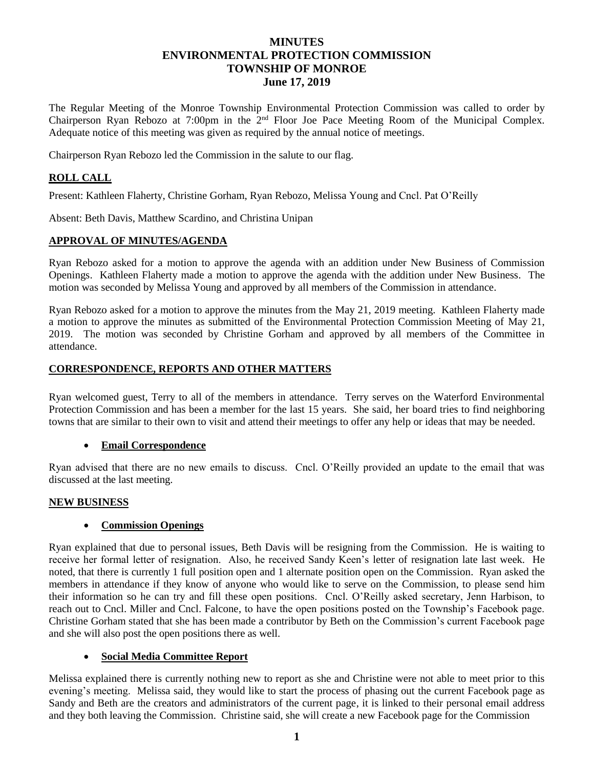# **MINUTES ENVIRONMENTAL PROTECTION COMMISSION TOWNSHIP OF MONROE June 17, 2019**

The Regular Meeting of the Monroe Township Environmental Protection Commission was called to order by Chairperson Ryan Rebozo at 7:00pm in the 2nd Floor Joe Pace Meeting Room of the Municipal Complex. Adequate notice of this meeting was given as required by the annual notice of meetings.

Chairperson Ryan Rebozo led the Commission in the salute to our flag.

## **ROLL CALL**

Present: Kathleen Flaherty, Christine Gorham, Ryan Rebozo, Melissa Young and Cncl. Pat O'Reilly

Absent: Beth Davis, Matthew Scardino, and Christina Unipan

## **APPROVAL OF MINUTES/AGENDA**

Ryan Rebozo asked for a motion to approve the agenda with an addition under New Business of Commission Openings. Kathleen Flaherty made a motion to approve the agenda with the addition under New Business. The motion was seconded by Melissa Young and approved by all members of the Commission in attendance.

Ryan Rebozo asked for a motion to approve the minutes from the May 21, 2019 meeting. Kathleen Flaherty made a motion to approve the minutes as submitted of the Environmental Protection Commission Meeting of May 21, 2019. The motion was seconded by Christine Gorham and approved by all members of the Committee in attendance.

## **CORRESPONDENCE, REPORTS AND OTHER MATTERS**

Ryan welcomed guest, Terry to all of the members in attendance. Terry serves on the Waterford Environmental Protection Commission and has been a member for the last 15 years. She said, her board tries to find neighboring towns that are similar to their own to visit and attend their meetings to offer any help or ideas that may be needed.

## **Email Correspondence**

Ryan advised that there are no new emails to discuss. Cncl. O'Reilly provided an update to the email that was discussed at the last meeting.

## **NEW BUSINESS**

## **Commission Openings**

Ryan explained that due to personal issues, Beth Davis will be resigning from the Commission. He is waiting to receive her formal letter of resignation. Also, he received Sandy Keen's letter of resignation late last week. He noted, that there is currently 1 full position open and 1 alternate position open on the Commission. Ryan asked the members in attendance if they know of anyone who would like to serve on the Commission, to please send him their information so he can try and fill these open positions. Cncl. O'Reilly asked secretary, Jenn Harbison, to reach out to Cncl. Miller and Cncl. Falcone, to have the open positions posted on the Township's Facebook page. Christine Gorham stated that she has been made a contributor by Beth on the Commission's current Facebook page and she will also post the open positions there as well.

## **Social Media Committee Report**

Melissa explained there is currently nothing new to report as she and Christine were not able to meet prior to this evening's meeting. Melissa said, they would like to start the process of phasing out the current Facebook page as Sandy and Beth are the creators and administrators of the current page, it is linked to their personal email address and they both leaving the Commission. Christine said, she will create a new Facebook page for the Commission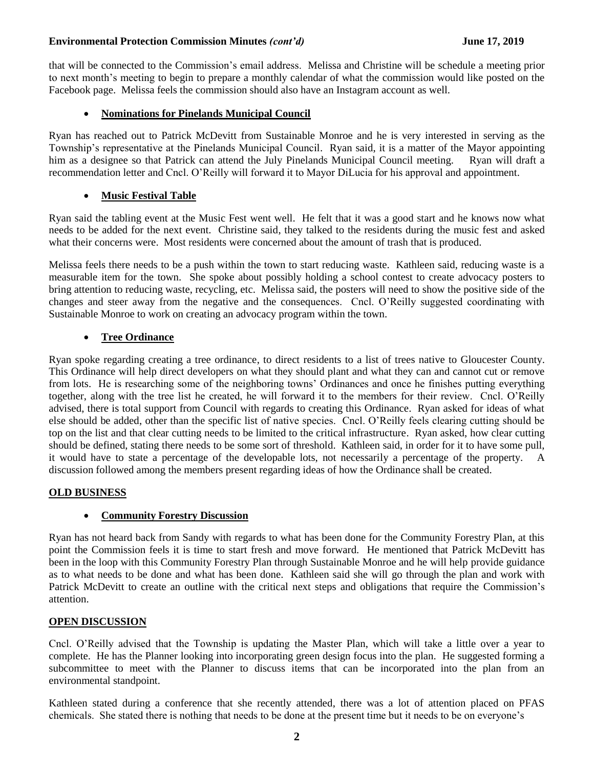## **Environmental Protection Commission Minutes** *(cont'd)* **June 17, 2019**

that will be connected to the Commission's email address. Melissa and Christine will be schedule a meeting prior to next month's meeting to begin to prepare a monthly calendar of what the commission would like posted on the Facebook page. Melissa feels the commission should also have an Instagram account as well.

## **Nominations for Pinelands Municipal Council**

Ryan has reached out to Patrick McDevitt from Sustainable Monroe and he is very interested in serving as the Township's representative at the Pinelands Municipal Council. Ryan said, it is a matter of the Mayor appointing him as a designee so that Patrick can attend the July Pinelands Municipal Council meeting. Ryan will draft a recommendation letter and Cncl. O'Reilly will forward it to Mayor DiLucia for his approval and appointment.

## **Music Festival Table**

Ryan said the tabling event at the Music Fest went well. He felt that it was a good start and he knows now what needs to be added for the next event. Christine said, they talked to the residents during the music fest and asked what their concerns were. Most residents were concerned about the amount of trash that is produced.

Melissa feels there needs to be a push within the town to start reducing waste. Kathleen said, reducing waste is a measurable item for the town. She spoke about possibly holding a school contest to create advocacy posters to bring attention to reducing waste, recycling, etc. Melissa said, the posters will need to show the positive side of the changes and steer away from the negative and the consequences. Cncl. O'Reilly suggested coordinating with Sustainable Monroe to work on creating an advocacy program within the town.

## **Tree Ordinance**

Ryan spoke regarding creating a tree ordinance, to direct residents to a list of trees native to Gloucester County. This Ordinance will help direct developers on what they should plant and what they can and cannot cut or remove from lots. He is researching some of the neighboring towns' Ordinances and once he finishes putting everything together, along with the tree list he created, he will forward it to the members for their review. Cncl. O'Reilly advised, there is total support from Council with regards to creating this Ordinance. Ryan asked for ideas of what else should be added, other than the specific list of native species. Cncl. O'Reilly feels clearing cutting should be top on the list and that clear cutting needs to be limited to the critical infrastructure. Ryan asked, how clear cutting should be defined, stating there needs to be some sort of threshold. Kathleen said, in order for it to have some pull, it would have to state a percentage of the developable lots, not necessarily a percentage of the property. A discussion followed among the members present regarding ideas of how the Ordinance shall be created.

## **OLD BUSINESS**

## **Community Forestry Discussion**

Ryan has not heard back from Sandy with regards to what has been done for the Community Forestry Plan, at this point the Commission feels it is time to start fresh and move forward. He mentioned that Patrick McDevitt has been in the loop with this Community Forestry Plan through Sustainable Monroe and he will help provide guidance as to what needs to be done and what has been done. Kathleen said she will go through the plan and work with Patrick McDevitt to create an outline with the critical next steps and obligations that require the Commission's attention.

## **OPEN DISCUSSION**

Cncl. O'Reilly advised that the Township is updating the Master Plan, which will take a little over a year to complete. He has the Planner looking into incorporating green design focus into the plan. He suggested forming a subcommittee to meet with the Planner to discuss items that can be incorporated into the plan from an environmental standpoint.

Kathleen stated during a conference that she recently attended, there was a lot of attention placed on PFAS chemicals. She stated there is nothing that needs to be done at the present time but it needs to be on everyone's